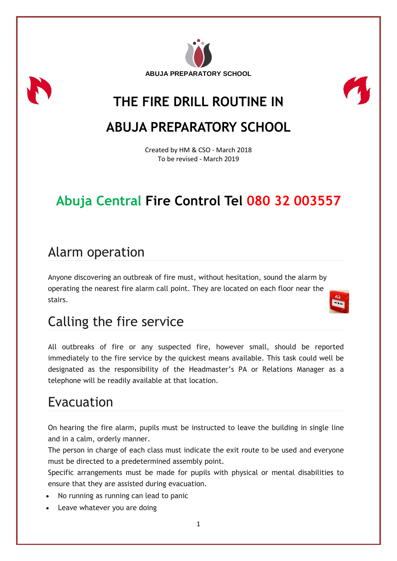



# **THE FIRE DRILL ROUTINE IN**

# **ABUJA PREPARATORY SCHOOL**

Created by HM & CSO - March 2018 To be revised - March 2019

# **Abuja Central Fire Control Tel 080 32 003557**

### Alarm operation

Anyone discovering an outbreak of fire must, without hesitation, sound the alarm by operating the nearest fire alarm call point. They are located on each floor near the stairs.

## Calling the fire service

All outbreaks of fire or any suspected fire, however small, should be reported immediately to the fire service by the quickest means available. This task could well be designated as the responsibility of the Headmaster's PA or Relations Manager as a telephone will be readily available at that location.

# Evacuation

On hearing the fire alarm, pupils must be instructed to leave the building in single line and in a calm, orderly manner.

The person in charge of each class must indicate the exit route to be used and everyone must be directed to a predetermined assembly point.

Specific arrangements must be made for pupils with physical or mental disabilities to ensure that they are assisted during evacuation.

- No running as running can lead to panic
- Leave whatever you are doing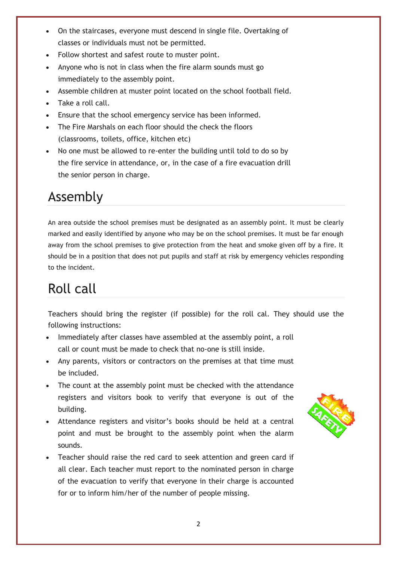- On the staircases, everyone must descend in single file. Overtaking of classes or individuals must not be permitted.
- Follow shortest and safest route to muster point.
- Anyone who is not in class when the fire alarm sounds must go immediately to the assembly point.
- Assemble children at muster point located on the school football field.
- Take a roll call.
- Ensure that the school emergency service has been informed.
- The Fire Marshals on each floor should the check the floors (classrooms, toilets, office, kitchen etc)
- No one must be allowed to re-enter the building until told to do so by the fire service in attendance, or, in the case of a fire evacuation drill the senior person in charge.

# Assembly

An area outside the school premises must be designated as an assembly point. It must be clearly marked and easily identified by anyone who may be on the school premises. It must be far enough away from the school premises to give protection from the heat and smoke given off by a fire. It should be in a position that does not put pupils and staff at risk by emergency vehicles responding to the incident.

# Roll call

Teachers should bring the register (if possible) for the roll cal. They should use the following instructions:

- Immediately after classes have assembled at the assembly point, a roll call or count must be made to check that no-one is still inside.
- Any parents, visitors or contractors on the premises at that time must be included.
- The count at the assembly point must be checked with the attendance registers and visitors book to verify that everyone is out of the building.
- Attendance registers and visitor's books should be held at a central point and must be brought to the assembly point when the alarm sounds.
- Teacher should raise the red card to seek attention and green card if all clear. Each teacher must report to the nominated person in charge of the evacuation to verify that everyone in their charge is accounted for or to inform him/her of the number of people missing.

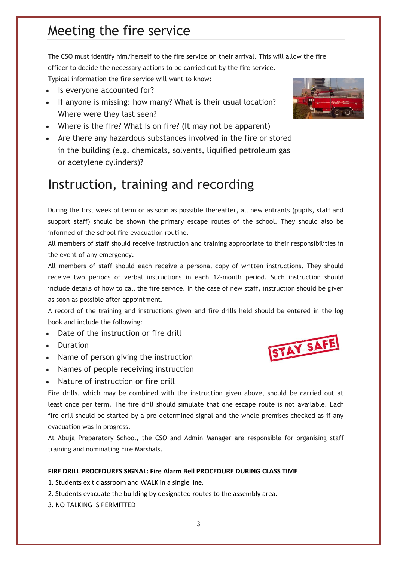### Meeting the fire service

The CSO must identify him/herself to the fire service on their arrival. This will allow the fire officer to decide the necessary actions to be carried out by the fire service.

Typical information the fire service will want to know:

- Is everyone accounted for?
- If anyone is missing: how many? What is their usual location? Where were they last seen?
- Where is the fire? What is on fire? (It may not be apparent)
- Are there any hazardous substances involved in the fire or stored in the building (e.g. chemicals, solvents, liquified petroleum gas or acetylene cylinders)?

## Instruction, training and recording

During the first week of term or as soon as possible thereafter, all new entrants (pupils, staff and support staff) should be shown the primary escape routes of the school. They should also be informed of the school fire evacuation routine.

All members of staff should receive instruction and training appropriate to their responsibilities in the event of any emergency.

All members of staff should each receive a personal copy of written instructions. They should receive two periods of verbal instructions in each 12-month period. Such instruction should include details of how to call the fire service. In the case of new staff, instruction should be given as soon as possible after appointment.

A record of the training and instructions given and fire drills held should be entered in the log book and include the following:

- Date of the instruction or fire drill
- Duration
- Name of person giving the instruction
- Names of people receiving instruction
- Nature of instruction or fire drill

Fire drills, which may be combined with the instruction given above, should be carried out at least once per term. The fire drill should simulate that one escape route is not available. Each fire drill should be started by a pre-determined signal and the whole premises checked as if any evacuation was in progress.

At Abuja Preparatory School, the CSO and Admin Manager are responsible for organising staff training and nominating Fire Marshals.

#### **FIRE DRILL PROCEDURES SIGNAL: Fire Alarm Bell PROCEDURE DURING CLASS TIME**

- 1. Students exit classroom and WALK in a single line.
- 2. Students evacuate the building by designated routes to the assembly area.
- 3. NO TALKING IS PERMITTED



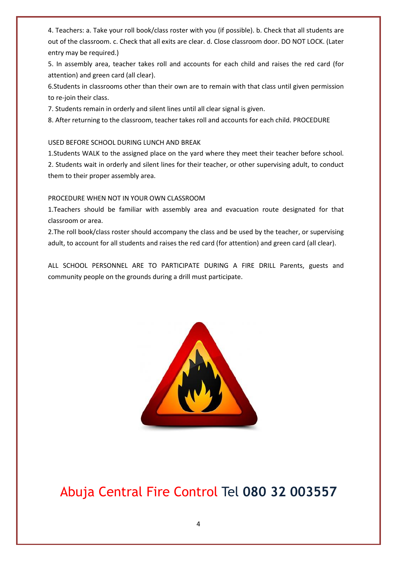4. Teachers: a. Take your roll book/class roster with you (if possible). b. Check that all students are out of the classroom. c. Check that all exits are clear. d. Close classroom door. DO NOT LOCK. (Later entry may be required.)

5. In assembly area, teacher takes roll and accounts for each child and raises the red card (for attention) and green card (all clear).

6.Students in classrooms other than their own are to remain with that class until given permission to re-join their class.

7. Students remain in orderly and silent lines until all clear signal is given.

8. After returning to the classroom, teacher takes roll and accounts for each child. PROCEDURE

#### USED BEFORE SCHOOL DURING LUNCH AND BREAK

1.Students WALK to the assigned place on the yard where they meet their teacher before school. 2. Students wait in orderly and silent lines for their teacher, or other supervising adult, to conduct them to their proper assembly area.

#### PROCEDURE WHEN NOT IN YOUR OWN CLASSROOM

1.Teachers should be familiar with assembly area and evacuation route designated for that classroom or area.

2.The roll book/class roster should accompany the class and be used by the teacher, or supervising adult, to account for all students and raises the red card (for attention) and green card (all clear).

ALL SCHOOL PERSONNEL ARE TO PARTICIPATE DURING A FIRE DRILL Parents, guests and community people on the grounds during a drill must participate.



#### Abuja Central Fire Control Tel **080 32 003557**